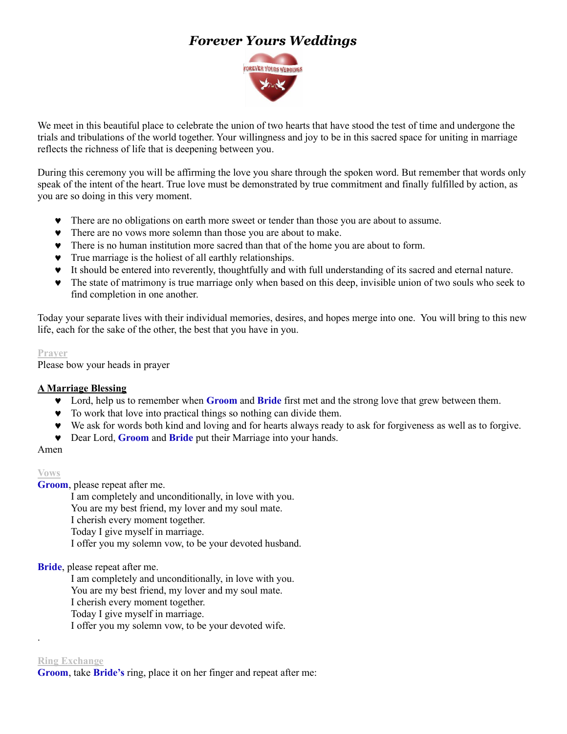# *Forever Yours Weddings*



We meet in this beautiful place to celebrate the union of two hearts that have stood the test of time and undergone the trials and tribulations of the world together. Your willingness and joy to be in this sacred space for uniting in marriage reflects the richness of life that is deepening between you.

During this ceremony you will be affirming the love you share through the spoken word. But remember that words only speak of the intent of the heart. True love must be demonstrated by true commitment and finally fulfilled by action, as you are so doing in this very moment.

- There are no obligations on earth more sweet or tender than those you are about to assume.
- There are no vows more solemn than those you are about to make.
- There is no human institution more sacred than that of the home you are about to form.
- True marriage is the holiest of all earthly relationships.
- It should be entered into reverently, thoughtfully and with full understanding of its sacred and eternal nature.
- The state of matrimony is true marriage only when based on this deep, invisible union of two souls who seek to find completion in one another.

Today your separate lives with their individual memories, desires, and hopes merge into one. You will bring to this new life, each for the sake of the other, the best that you have in you.

#### **Prayer**

Please bow your heads in prayer

### **A Marriage Blessing**

- Lord, help us to remember when **Groom** and **Bride** first met and the strong love that grew between them.
- $\bullet$  To work that love into practical things so nothing can divide them.
- We ask for words both kind and loving and for hearts always ready to ask for forgiveness as well as to forgive.
- Dear Lord, **Groom** and **Bride** put their Marriage into your hands.

### Amen

### **Vows**

**Groom**, please repeat after me.

I am completely and unconditionally, in love with you.

You are my best friend, my lover and my soul mate.

I cherish every moment together.

Today I give myself in marriage.

I offer you my solemn vow, to be your devoted husband.

**Bride**, please repeat after me.

I am completely and unconditionally, in love with you.

You are my best friend, my lover and my soul mate.

I cherish every moment together.

Today I give myself in marriage.

I offer you my solemn vow, to be your devoted wife.

#### **Ring Exchange**

.

**Groom**, take **Bride's** ring, place it on her finger and repeat after me: